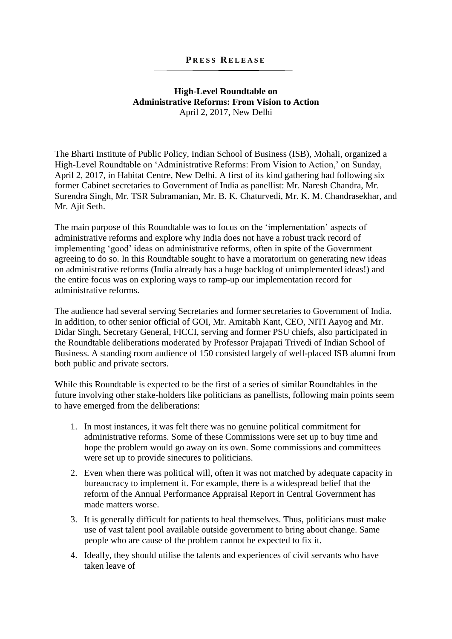## **P R E S S R E L E A S E**

## **High-Level Roundtable on Administrative Reforms: From Vision to Action** April 2, 2017, New Delhi

The Bharti Institute of Public Policy, Indian School of Business (ISB), Mohali, organized a High-Level Roundtable on 'Administrative Reforms: From Vision to Action,' on Sunday, April 2, 2017, in Habitat Centre, New Delhi. A first of its kind gathering had following six former Cabinet secretaries to Government of India as panellist: Mr. Naresh Chandra, Mr. Surendra Singh, Mr. TSR Subramanian, Mr. B. K. Chaturvedi, Mr. K. M. Chandrasekhar, and Mr. Ajit Seth.

The main purpose of this Roundtable was to focus on the 'implementation' aspects of administrative reforms and explore why India does not have a robust track record of implementing 'good' ideas on administrative reforms, often in spite of the Government agreeing to do so. In this Roundtable sought to have a moratorium on generating new ideas on administrative reforms (India already has a huge backlog of unimplemented ideas!) and the entire focus was on exploring ways to ramp-up our implementation record for administrative reforms.

The audience had several serving Secretaries and former secretaries to Government of India. In addition, to other senior official of GOI, Mr. Amitabh Kant, CEO, NITI Aayog and Mr. Didar Singh, Secretary General, FICCI, serving and former PSU chiefs, also participated in the Roundtable deliberations moderated by Professor Prajapati Trivedi of Indian School of Business. A standing room audience of 150 consisted largely of well-placed ISB alumni from both public and private sectors.

While this Roundtable is expected to be the first of a series of similar Roundtables in the future involving other stake-holders like politicians as panellists, following main points seem to have emerged from the deliberations:

- 1. In most instances, it was felt there was no genuine political commitment for administrative reforms. Some of these Commissions were set up to buy time and hope the problem would go away on its own. Some commissions and committees were set up to provide sinecures to politicians.
- 2. Even when there was political will, often it was not matched by adequate capacity in bureaucracy to implement it. For example, there is a widespread belief that the reform of the Annual Performance Appraisal Report in Central Government has made matters worse.
- 3. It is generally difficult for patients to heal themselves. Thus, politicians must make use of vast talent pool available outside government to bring about change. Same people who are cause of the problem cannot be expected to fix it.
- 4. Ideally, they should utilise the talents and experiences of civil servants who have taken leave of